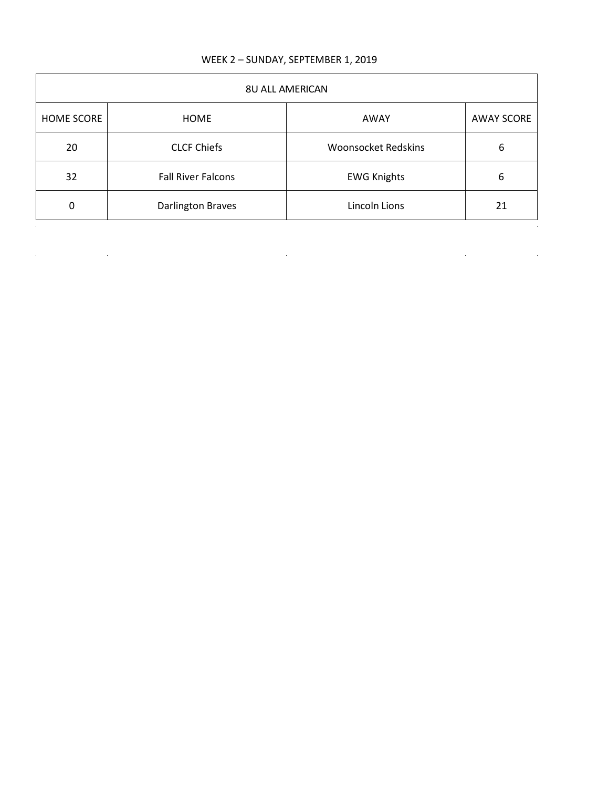## WEEK 2 – SUNDAY, SEPTEMBER 1, 2019

| <b>8U ALL AMERICAN</b> |                           |                            |                   |
|------------------------|---------------------------|----------------------------|-------------------|
| <b>HOME SCORE</b>      | HOME                      | AWAY                       | <b>AWAY SCORE</b> |
| 20                     | <b>CLCF Chiefs</b>        | <b>Woonsocket Redskins</b> | 6                 |
| 32                     | <b>Fall River Falcons</b> | <b>EWG Knights</b>         | 6                 |
| 0                      | <b>Darlington Braves</b>  | Lincoln Lions              | 21                |

 $\mathcal{L}^{\text{max}}_{\text{max}}$  and  $\mathcal{L}^{\text{max}}_{\text{max}}$ 

 $\mathcal{L}^{\mathcal{L}}(\mathcal{L}^{\mathcal{L}})$  and  $\mathcal{L}^{\mathcal{L}}(\mathcal{L}^{\mathcal{L}})$  and  $\mathcal{L}^{\mathcal{L}}(\mathcal{L}^{\mathcal{L}})$  and  $\mathcal{L}^{\mathcal{L}}(\mathcal{L}^{\mathcal{L}})$ 

 $\label{eq:2.1} \frac{1}{2} \int_{\mathbb{R}^3} \left| \frac{1}{\sqrt{2}} \, \frac{1}{\sqrt{2}} \, \frac{1}{\sqrt{2}} \, \frac{1}{\sqrt{2}} \, \frac{1}{\sqrt{2}} \, \frac{1}{\sqrt{2}} \, \frac{1}{\sqrt{2}} \, \frac{1}{\sqrt{2}} \, \frac{1}{\sqrt{2}} \, \frac{1}{\sqrt{2}} \, \frac{1}{\sqrt{2}} \, \frac{1}{\sqrt{2}} \, \frac{1}{\sqrt{2}} \, \frac{1}{\sqrt{2}} \, \frac{1}{\sqrt{2}} \, \frac{1}{\sqrt{2$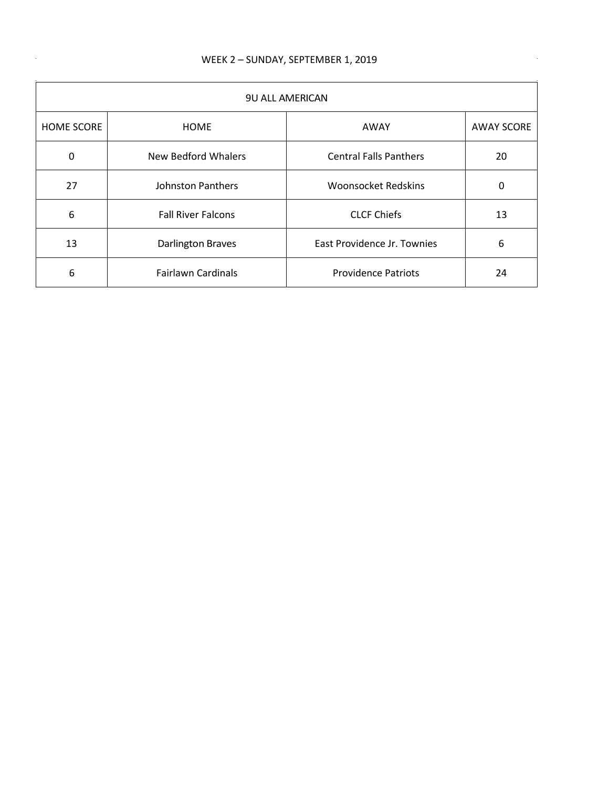$\mathcal{A}$ 

| <b>9U ALL AMERICAN</b> |                           |                               |                   |
|------------------------|---------------------------|-------------------------------|-------------------|
| <b>HOME SCORE</b>      | <b>HOME</b>               | AWAY                          | <b>AWAY SCORE</b> |
| 0                      | New Bedford Whalers       | <b>Central Falls Panthers</b> | 20                |
| 27                     | <b>Johnston Panthers</b>  | <b>Woonsocket Redskins</b>    | 0                 |
| 6                      | <b>Fall River Falcons</b> | <b>CLCF Chiefs</b>            | 13                |
| 13                     | <b>Darlington Braves</b>  | East Providence Jr. Townies   | 6                 |
| 6                      | <b>Fairlawn Cardinals</b> | <b>Providence Patriots</b>    | 24                |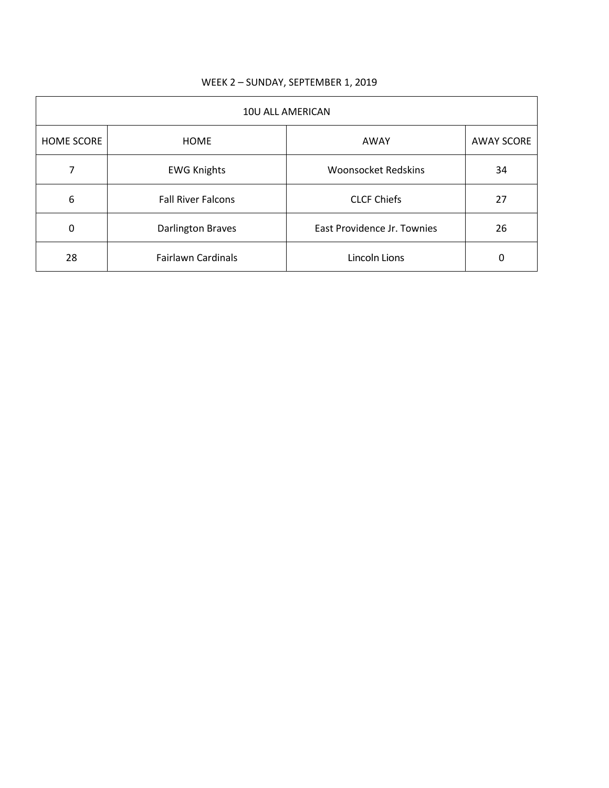| 10U ALL AMERICAN  |                           |                             |                   |
|-------------------|---------------------------|-----------------------------|-------------------|
| <b>HOME SCORE</b> | <b>HOME</b>               | AWAY                        | <b>AWAY SCORE</b> |
| 7                 | <b>EWG Knights</b>        | <b>Woonsocket Redskins</b>  | 34                |
| 6                 | <b>Fall River Falcons</b> | <b>CLCF Chiefs</b>          | 27                |
| 0                 | <b>Darlington Braves</b>  | East Providence Jr. Townies | 26                |
| 28                | <b>Fairlawn Cardinals</b> | Lincoln Lions               | 0                 |

## WEEK 2 – SUNDAY, SEPTEMBER 1, 2019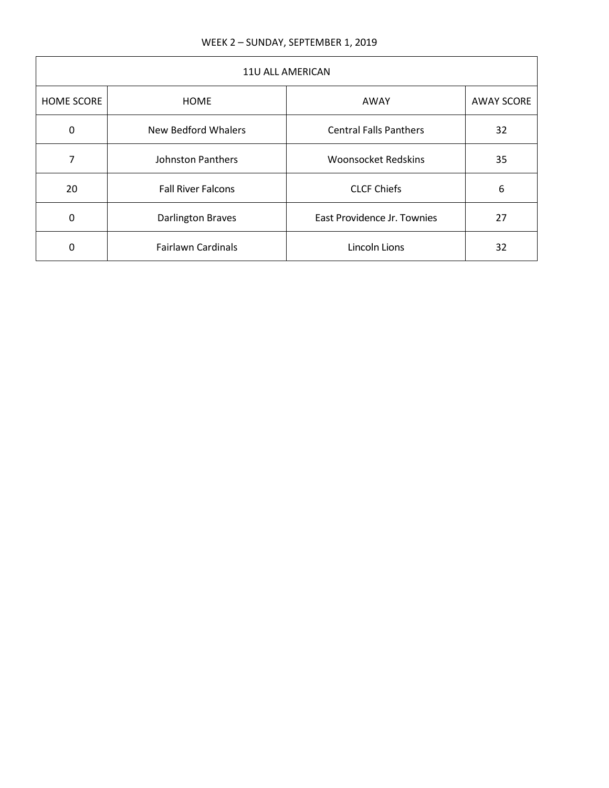| 11U ALL AMERICAN  |                           |                               |                   |
|-------------------|---------------------------|-------------------------------|-------------------|
| <b>HOME SCORE</b> | <b>HOME</b>               | AWAY                          | <b>AWAY SCORE</b> |
| 0                 | New Bedford Whalers       | <b>Central Falls Panthers</b> | 32                |
|                   | Johnston Panthers         | <b>Woonsocket Redskins</b>    | 35                |
| 20                | <b>Fall River Falcons</b> | <b>CLCF Chiefs</b>            | 6                 |
| 0                 | <b>Darlington Braves</b>  | East Providence Jr. Townies   | 27                |
| 0                 | <b>Fairlawn Cardinals</b> | Lincoln Lions                 | 32                |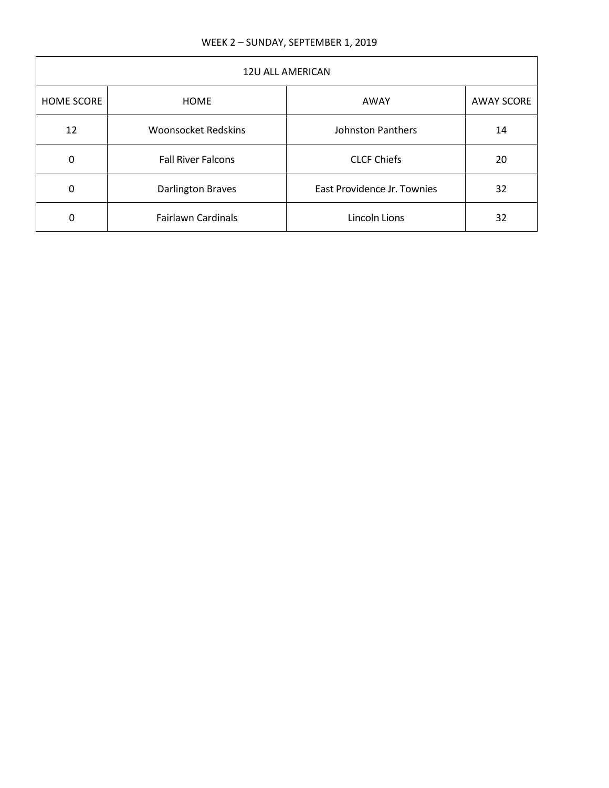| 12U ALL AMERICAN  |                            |                             |                   |
|-------------------|----------------------------|-----------------------------|-------------------|
| <b>HOME SCORE</b> | <b>HOME</b>                | AWAY                        | <b>AWAY SCORE</b> |
| 12                | <b>Woonsocket Redskins</b> | <b>Johnston Panthers</b>    | 14                |
| $\mathbf{0}$      | <b>Fall River Falcons</b>  | <b>CLCF Chiefs</b>          | 20                |
| $\Omega$          | <b>Darlington Braves</b>   | East Providence Jr. Townies | 32                |
| 0                 | <b>Fairlawn Cardinals</b>  | Lincoln Lions               | 32                |